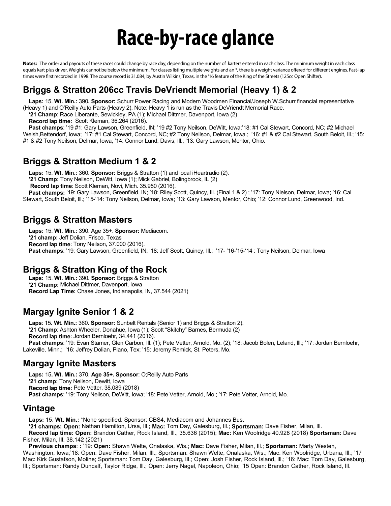# **Race-by-race glance**

**Notes:** The order and payouts of these races could change by race day, depending on the number of karters entered in each class. The minimum weight in each class equals kart plus driver. Weights cannot be below the minimum. For classes listing multiple weights and an \*, there is a weight variance offered for different engines. Fast-lap times were first recorded in 1998. The course record is 31.084, by Austin Wilkins, Texas, in the '16 feature of the King of the Streets (125cc Open Shifter).

## **Briggs & Stratton 206cc Travis DeVriendt Memorial (Heavy 1) & 2**

**Laps:** 15. **Wt. Min.:** 390**. Sponsor:** Schurr Power Racing and Modern Woodmen Financial/Joseph W.Schurr financial representative (Heavy 1) and O'Reilly Auto Parts (Heavy 2). Note: Heavy 1 is run as the Travis DeVriendt Memorial Race.

**'21 Champ**: Race Liberante, Sewickley, PA (1); Michael Dittmer, Davenport, Iowa (2)

**Record lap time:** Scott Kleman, 36.264 (2016).

Past champs: '19 #1: Gary Lawson, Greenfield, IN; '19 #2 Tony Neilson, DeWitt, Iowa;'18: #1 Cal Stewart, Concord, NC; #2 Michael Welsh,Bettendorf, Iowa; '17: #1 Cal Stewart, Concord, NC; #2 Tony Neilson, Delmar, Iowa.; '16: #1 & #2 Cal Stewart, South Beloit, Ill.; '15: #1 & #2 Tony Neilson, Delmar, Iowa; '14: Connor Lund, Davis, Ill.; '13: Gary Lawson, Mentor, Ohio.

# **Briggs & Stratton Medium 1 & 2**

**Laps:** 15. **Wt. Min.:** 360**. Sponsor:** Briggs & Stratton (1) and local iHeartradio (2).

**'21 Champ:** Tony Neilson, DeWitt, Iowa (1); Mick Gabriel, Bolingbrook, IL (2)

**Record lap time**: Scott Kleman, Novi, Mich. 35.950 (2016).

Past champs: '19: Gary Lawson, Greenfield, IN; '18: Riley Scott, Quincy, Ill. (Final 1 & 2); '17: Tony Nielson, Delmar, Iowa; '16: Cal Stewart, South Beloit, Ill.; '15-'14: Tony Neilson, Delmar, Iowa; '13: Gary Lawson, Mentor, Ohio; '12: Connor Lund, Greenwood, Ind.

## **Briggs & Stratton Masters**

**Laps:** 15. **Wt. Min.:** 390. Age 35+. **Sponsor:** Mediacom. **'21 champ:** Jeff Dolian, Frisco, Texas **Record lap time**: Tony Neilson, 37.000 (2016). **Past champs**: '19: Gary Lawson, Greenfield, IN; '18: Jeff Scott, Quincy, Ill.; '17- '16-'15-'14 : Tony Neilson, Delmar, Iowa

# **Briggs & Stratton King of the Rock**

**Laps:** 15. **Wt. Min.:** 390**. Sponsor:** Briggs & Stratton **'21 Champ:** Michael Dittmer, Davenport, Iowa **Record Lap Time:** Chase Jones, Indianapolis, IN, 37.544 (2021)

## **Margay Ignite Senior 1 & 2**

**Laps**: 15**. Wt. Min.:** 360**. Sponsor:** Sunbelt Rentals (Senior 1) and Briggs & Stratton 2). **'21 Champ**: Ashton Wheeler, Donahue, Iowa (1); Scott "Skitchy" Barnes, Bermuda (2) **Record lap time**: Jordan Bernloehr, 34.441 (2016). Past champs: '19: Evan Stamer, Glen Carbon, Ill. (1); Pete Vetter, Arnold, Mo. (2); '18: Jacob Bolen, Leland, Ill.; '17: Jordan Bernloehr, Lakeville, Minn.; '16: Jeffrey Dolian, Plano, Tex; '15: Jeremy Remick, St. Peters, Mo.

## **Margay Ignite Masters**

**Laps:** 15**. Wt. Min.:** 370. **Age 35+. Sponsor**: O;Reilly Auto Parts **'21 champ:** Tony Neilson, Dewitt, Iowa **Record lap time:** Pete Vetter, 38.089 (2018) **Past champs**: '19: Tony Neilson, DeWitt, Iowa; '18: Pete Vetter, Arnold, Mo.; '17: Pete Vetter, Arnold, Mo.

#### **Vintage**

**Laps:** 15. **Wt. Min.:** \*None specified. Sponsor: CBS4, Mediacom and Johannes Bus.

**'21 champs: Open:** Nathan Hamilton, Ursa, Ill.; **Mac:** Tom Day, Galesburg, Ill.; **Sportsman:** Dave Fisher, Milan, Ill.

**Record lap time: Open:** Brandon Cather, Rock Island, Ill., 35.636 (2015); **Mac:** Ken Woolridge 40.928 (2018) **Sportsman:** Dave Fisher, Milan, Ill. 38.142 (2021)

**Previous champs**: **:** '19: **Open:** Shawn Welte, Onalaska, Wis.; **Mac:** Dave Fisher, Milan, Ill.; **Sportsman:** Marty Westen, Washington, Iowa;'18: Open: Dave Fisher, Milan, Ill.; Sportsman: Shawn Welte, Onalaska, Wis.; Mac: Ken Woolridge, Urbana, Ill.; '17 Mac: Kirk Gustafson, Moline; Sportsman: Tom Day, Galesburg, Ill.; Open: Josh Fisher, Rock Island, Ill.; '16: Mac: Tom Day, Galesburg, Ill.; Sportsman: Randy Duncalf, Taylor Ridge, Ill.; Open: Jerry Nagel, Napoleon, Ohio; '15 Open: Brandon Cather, Rock Island, Ill.